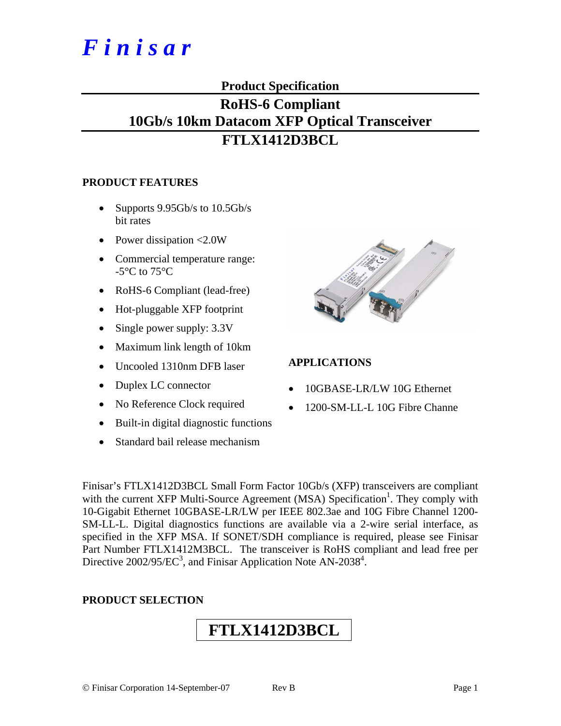# *F i n i s a r*

## **Product Specification**

## **RoHS-6 Compliant 10Gb/s 10km Datacom XFP Optical Transceiver FTLX1412D3BCL**

## **PRODUCT FEATURES**

- Supports 9.95Gb/s to 10.5Gb/s bit rates
- Power dissipation <2.0W
- Commercial temperature range:  $-5^{\circ}$ C to  $75^{\circ}$ C
- RoHS-6 Compliant (lead-free)
- Hot-pluggable XFP footprint
- Single power supply:  $3.3V$
- Maximum link length of 10km
- Uncooled 1310nm DFB laser
- Duplex LC connector
- No Reference Clock required
- Built-in digital diagnostic functions
- Standard bail release mechanism



## **APPLICATIONS**

- 10GBASE-LR/LW 10G Ethernet
- 1200-SM-LL-L 10G Fibre Channe

Finisar's FTLX1412D3BCL Small Form Factor 10Gb/s (XFP) transceivers are compliant with the current XFP Multi-Source Agreement (MSA) Specification<sup>1</sup>. They comply with 10-Gigabit Ethernet 10GBASE-LR/LW per IEEE 802.3ae and 10G Fibre Channel 1200- SM-LL-L. Digital diagnostics functions are available via a 2-wire serial interface, as specified in the XFP MSA. If SONET/SDH compliance is required, please see Finisar Part Number FTLX1412M3BCL. The transceiver is RoHS compliant and lead free per Directive 2002/95/EC<sup>3</sup>, and Finisar Application Note AN-2038<sup>4</sup>.

## **PRODUCT SELECTION**

## **FTLX1412D3BCL**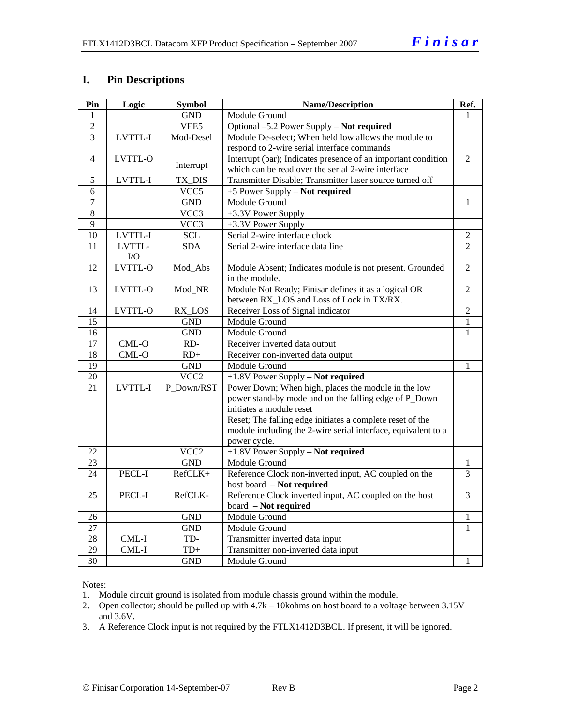## **I. Pin Descriptions**

| Pin             | Logic          | <b>Symbol</b>    | <b>Name/Description</b>                                       | Ref.           |
|-----------------|----------------|------------------|---------------------------------------------------------------|----------------|
| 1               |                | <b>GND</b>       | Module Ground                                                 | 1              |
| $\overline{2}$  |                | VEE <sub>5</sub> | Optional -5.2 Power Supply - Not required                     |                |
| $\overline{3}$  | LVTTL-I        | Mod-Desel        | Module De-select; When held low allows the module to          |                |
|                 |                |                  | respond to 2-wire serial interface commands                   |                |
| $\overline{4}$  | <b>LVTTL-O</b> |                  | Interrupt (bar); Indicates presence of an important condition | $\overline{2}$ |
|                 |                | Interrupt        | which can be read over the serial 2-wire interface            |                |
| 5               | LVTTL-I        | TX_DIS           | Transmitter Disable; Transmitter laser source turned off      |                |
| 6               |                | VCC5             | +5 Power Supply - Not required                                |                |
| $\overline{7}$  |                | <b>GND</b>       | Module Ground                                                 | 1              |
| 8               |                | VCC3             | +3.3V Power Supply                                            |                |
| $\overline{9}$  |                | VCC3             | +3.3V Power Supply                                            |                |
| 10              | LVTTL-I        | <b>SCL</b>       | Serial 2-wire interface clock                                 | 2              |
| 11              | LVTTL-         | <b>SDA</b>       | Serial 2-wire interface data line                             | $\overline{2}$ |
|                 | I/O            |                  |                                                               |                |
| 12              | LVTTL-O        | Mod_Abs          | Module Absent; Indicates module is not present. Grounded      | $\overline{2}$ |
|                 |                |                  | in the module.                                                |                |
| 13              | LVTTL-O        | Mod_NR           | Module Not Ready; Finisar defines it as a logical OR          | $\overline{2}$ |
|                 |                |                  | between RX_LOS and Loss of Lock in TX/RX.                     |                |
| 14              | LVTTL-O        | RX_LOS           | Receiver Loss of Signal indicator                             | $\overline{2}$ |
| 15              |                | <b>GND</b>       | Module Ground                                                 | 1              |
| 16              |                | <b>GND</b>       | Module Ground                                                 | $\mathbf{1}$   |
| $\overline{17}$ | CML-O          | $RD-$            | Receiver inverted data output                                 |                |
| $\overline{18}$ | $CML-O$        | $RD+$            | Receiver non-inverted data output                             |                |
| $\overline{19}$ |                | <b>GND</b>       | Module Ground                                                 | 1              |
| 20              |                | VCC <sub>2</sub> | +1.8V Power Supply - Not required                             |                |
| 21              | LVTTL-I        | P_Down/RST       | Power Down; When high, places the module in the low           |                |
|                 |                |                  | power stand-by mode and on the falling edge of P_Down         |                |
|                 |                |                  | initiates a module reset                                      |                |
|                 |                |                  | Reset; The falling edge initiates a complete reset of the     |                |
|                 |                |                  | module including the 2-wire serial interface, equivalent to a |                |
|                 |                |                  | power cycle.                                                  |                |
| 22              |                | VCC <sub>2</sub> | +1.8V Power Supply - Not required                             |                |
| 23              |                | <b>GND</b>       | Module Ground                                                 | 1              |
| 24              | PECL-I         | RefCLK+          | Reference Clock non-inverted input, AC coupled on the         | 3              |
|                 |                |                  | host board - Not required                                     |                |
| 25              | PECL-I         | RefCLK-          | Reference Clock inverted input, AC coupled on the host        | $\overline{3}$ |
|                 |                |                  | board - Not required                                          |                |
| 26              |                | <b>GND</b>       | Module Ground                                                 | 1              |
| 27              |                | <b>GND</b>       | Module Ground                                                 | 1              |
| 28              | $CML-I$        | TD-              | Transmitter inverted data input                               |                |
| 29              | CML-I          | $TD+$            | Transmitter non-inverted data input                           |                |
| $\overline{30}$ |                | <b>GND</b>       | Module Ground                                                 | 1              |

Notes:

1. Module circuit ground is isolated from module chassis ground within the module.

2. Open collector; should be pulled up with 4.7k – 10kohms on host board to a voltage between 3.15V and 3.6V.

3. A Reference Clock input is not required by the FTLX1412D3BCL. If present, it will be ignored.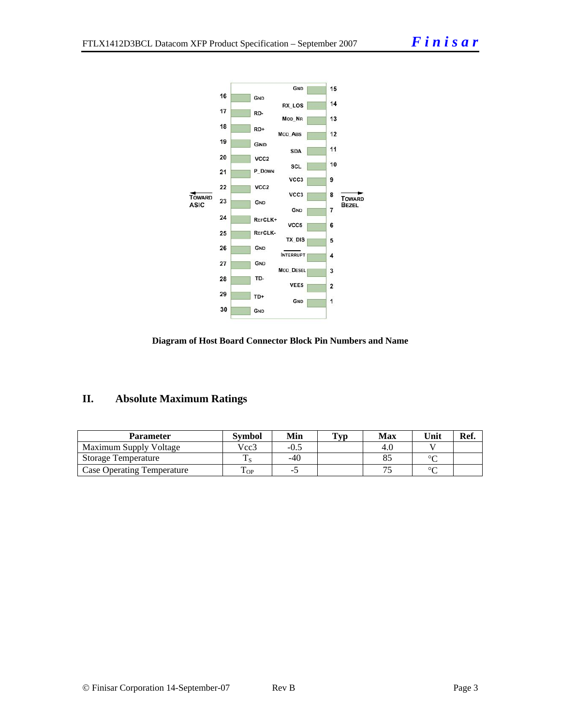



## **II. Absolute Maximum Ratings**

| Parameter                         | Svmbol             | Min   | Typ | Max | Unit   | Ref. |
|-----------------------------------|--------------------|-------|-----|-----|--------|------|
| Maximum Supply Voltage            | Vcc3               | -0.5  |     | 4.U |        |      |
| <b>Storage Temperature</b>        |                    | $-40$ |     |     | $\sim$ |      |
| <b>Case Operating Temperature</b> | $\mathbf{r}$<br>OP |       |     |     | $\sim$ |      |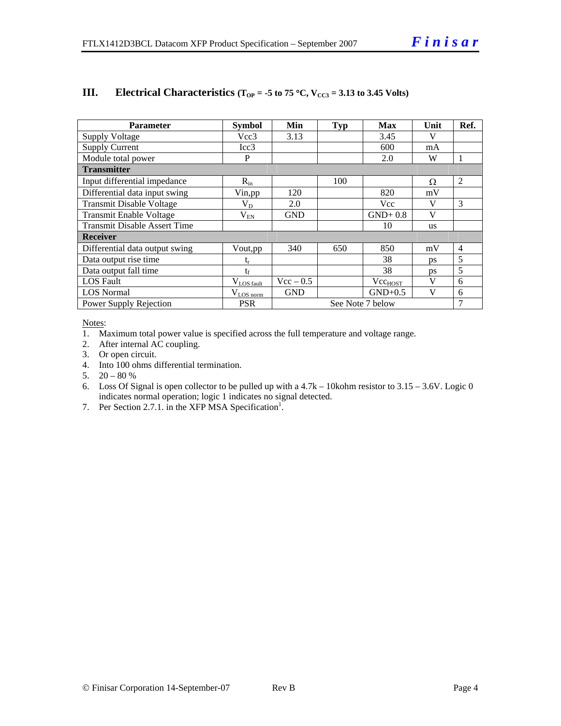| <b>Parameter</b>                    | <b>Symbol</b>           | Min         | <b>Typ</b> | <b>Max</b>                  | Unit      | Ref.           |
|-------------------------------------|-------------------------|-------------|------------|-----------------------------|-----------|----------------|
| <b>Supply Voltage</b>               | Vcc3                    | 3.13        |            | 3.45                        | V         |                |
| <b>Supply Current</b>               | Icc3                    |             |            | 600                         | mA        |                |
| Module total power                  | P                       |             |            | 2.0                         | W         | -1             |
| <b>Transmitter</b>                  |                         |             |            |                             |           |                |
| Input differential impedance        | $R_{in}$                |             | 100        |                             | Ω         | 2              |
| Differential data input swing       | Vin, pp                 | 120         |            | 820                         | mV        |                |
| <b>Transmit Disable Voltage</b>     | $\rm V_{D}$             | 2.0         |            | Vcc                         | V         | 3              |
| <b>Transmit Enable Voltage</b>      | $\rm V_{EN}$            | <b>GND</b>  |            | $GND+0.8$                   | V         |                |
| <b>Transmit Disable Assert Time</b> |                         |             |            | 10                          | <b>us</b> |                |
| <b>Receiver</b>                     |                         |             |            |                             |           |                |
| Differential data output swing      | Vout, pp                | 340         | 650        | 850                         | mV        | $\overline{4}$ |
| Data output rise time               | t,                      |             |            | 38                          | ps        | 5              |
| Data output fall time               | $t_{\rm f}$             |             |            | 38                          | <b>ps</b> | 5              |
| <b>LOS</b> Fault                    | $V_{LOS \text{ fault}}$ | $Vec - 0.5$ |            | <b>V</b> cc <sub>HOST</sub> | V         | 6              |
| <b>LOS Normal</b>                   | $V_{LOS\,norm}$         | <b>GND</b>  |            | $GND+0.5$                   | V         | 6              |
| Power Supply Rejection              | <b>PSR</b>              |             |            | See Note 7 below            |           | 7              |

## **III.** Electrical Characteristics ( $T_{OP} = -5$  to 75 °C,  $V_{CC3} = 3.13$  to 3.45 Volts)

Notes:

1. Maximum total power value is specified across the full temperature and voltage range.

2. After internal AC coupling.

3. Or open circuit.

4. Into 100 ohms differential termination.

5.  $20 - 80 %$ 

6. Loss Of Signal is open collector to be pulled up with a 4.7k – 10kohm resistor to 3.15 – 3.6V. Logic 0 indicates normal operation; logic 1 indicates no signal detected.

7. Per Section 2.7.1. in the XFP MSA Specification<sup>1</sup>.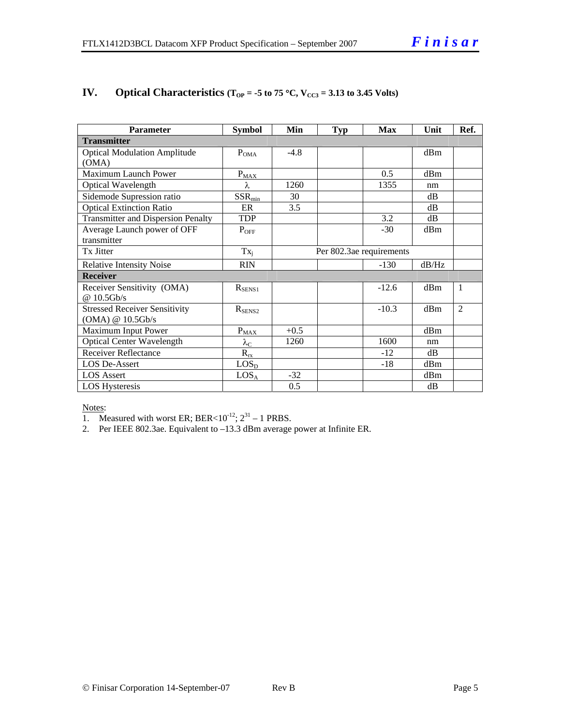| <b>Parameter</b>                          | <b>Symbol</b>          | Min    | Typ | <b>Max</b>               | Unit  | Ref.           |
|-------------------------------------------|------------------------|--------|-----|--------------------------|-------|----------------|
| <b>Transmitter</b>                        |                        |        |     |                          |       |                |
| <b>Optical Modulation Amplitude</b>       | $P_{OMA}$              | $-4.8$ |     |                          | dBm   |                |
| (OMA)                                     |                        |        |     |                          |       |                |
| Maximum Launch Power                      | $P_{MAX}$              |        |     | 0.5                      | dBm   |                |
| Optical Wavelength                        | λ                      | 1260   |     | 1355                     | nm    |                |
| Sidemode Supression ratio                 | $SSR_{min}$            | 30     |     |                          | dB    |                |
| <b>Optical Extinction Ratio</b>           | ER                     | 3.5    |     |                          | dB    |                |
| <b>Transmitter and Dispersion Penalty</b> | <b>TDP</b>             |        |     | 3.2                      | dB    |                |
| Average Launch power of OFF               | $P_{OFF}$              |        |     | $-30$                    | dBm   |                |
| transmitter                               |                        |        |     |                          |       |                |
| Tx Jitter                                 | $Tx_i$                 |        |     | Per 802.3ae requirements |       |                |
| <b>Relative Intensity Noise</b>           | <b>RIN</b>             |        |     | $-130$                   | dB/Hz |                |
| <b>Receiver</b>                           |                        |        |     |                          |       |                |
| Receiver Sensitivity (OMA)                | $R_{SENS1}$            |        |     | $-12.6$                  | dBm   | 1              |
| @ 10.5Gb/s                                |                        |        |     |                          |       |                |
| <b>Stressed Receiver Sensitivity</b>      | $R_{\text{SENS2}}$     |        |     | $-10.3$                  | dBm   | $\overline{2}$ |
| (OMA) @ 10.5Gb/s                          |                        |        |     |                          |       |                |
| Maximum Input Power                       | $P_{MAX}$              | $+0.5$ |     |                          | dBm   |                |
| <b>Optical Center Wavelength</b>          | $\lambda_{\mathrm{C}}$ | 1260   |     | 1600                     | nm    |                |
| <b>Receiver Reflectance</b>               | $R_{rx}$               |        |     | $-12$                    | dB    |                |
| <b>LOS De-Assert</b>                      | LOS <sub>D</sub>       |        |     | $-18$                    | dBm   |                |
| <b>LOS</b> Assert                         | LOS <sub>A</sub>       | $-32$  |     |                          | dBm   |                |
| <b>LOS</b> Hysteresis                     |                        | 0.5    |     |                          | dB    |                |

## **IV.** Optical Characteristics ( $T_{OP}$  = -5 to 75 °C,  $V_{CC3}$  = 3.13 to 3.45 Volts)

#### Notes:

1. Measured with worst ER; BER<10<sup>-12</sup>;  $2^{31}$  – 1 PRBS.

2. Per IEEE 802.3ae. Equivalent to –13.3 dBm average power at Infinite ER.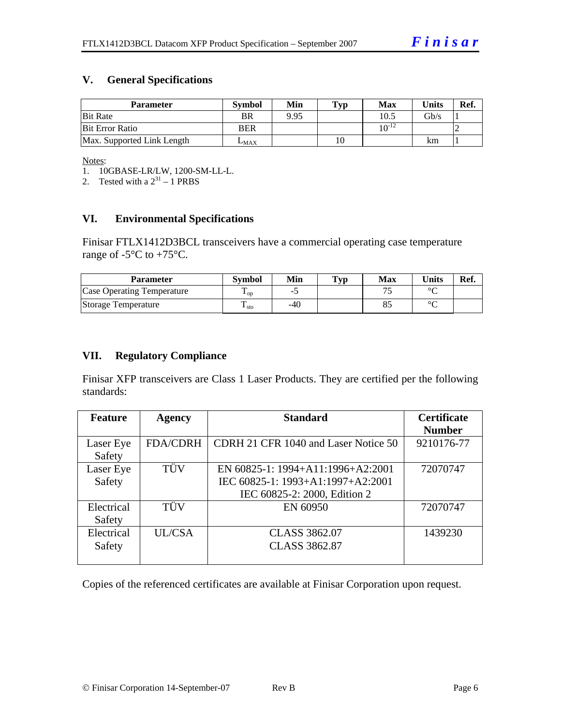## **V. General Specifications**

| <b>Parameter</b>           | <b>Symbol</b> | Min  | Typ | Max         | <b>Units</b>    | Ref. |
|----------------------------|---------------|------|-----|-------------|-----------------|------|
| <b>Bit Rate</b>            | BR            | 9.95 |     | 10.5        | $\mathrm{Gb/s}$ |      |
| <b>Bit Error Ratio</b>     | <b>BER</b>    |      |     | 1 $0^{-12}$ |                 |      |
| Max. Supported Link Length | $L_{MAX}$     |      | 10  |             | km              |      |

Notes:

1. 10GBASE-LR/LW, 1200-SM-LL-L.

2. Tested with a  $2^{31} - 1$  PRBS

## **VI. Environmental Specifications**

Finisar FTLX1412D3BCL transceivers have a commercial operating case temperature range of  $-5^{\circ}$ C to  $+75^{\circ}$ C.

| <b>Parameter</b>                  | <b>Symbol</b>     | Min | $\mathbf{T}_{\mathbf{V}\mathbf{p}}$ | Max | <b>Units</b> | Ref. |
|-----------------------------------|-------------------|-----|-------------------------------------|-----|--------------|------|
| <b>Case Operating Temperature</b> | $\mathbf{L}_{OD}$ | -   |                                     |     | $\sim$       |      |
| Storage Temperature               | m<br>$\pm$ sto    | -40 |                                     |     | $\sim$       |      |

### **VII. Regulatory Compliance**

Finisar XFP transceivers are Class 1 Laser Products. They are certified per the following standards:

| <b>Feature</b> | <b>Agency</b>   | <b>Standard</b>                      | <b>Certificate</b> |
|----------------|-----------------|--------------------------------------|--------------------|
|                |                 |                                      | <b>Number</b>      |
| Laser Eye      | <b>FDA/CDRH</b> | CDRH 21 CFR 1040 and Laser Notice 50 | 9210176-77         |
| Safety         |                 |                                      |                    |
| Laser Eye      | TÜV             | EN 60825-1: 1994+A11:1996+A2:2001    | 72070747           |
| Safety         |                 | IEC 60825-1: 1993+A1:1997+A2:2001    |                    |
|                |                 | IEC 60825-2: 2000, Edition 2         |                    |
| Electrical     | TÜV             | EN 60950                             | 72070747           |
| Safety         |                 |                                      |                    |
| Electrical     | <b>UL/CSA</b>   | <b>CLASS 3862.07</b>                 | 1439230            |
| Safety         |                 | <b>CLASS 3862.87</b>                 |                    |
|                |                 |                                      |                    |

Copies of the referenced certificates are available at Finisar Corporation upon request.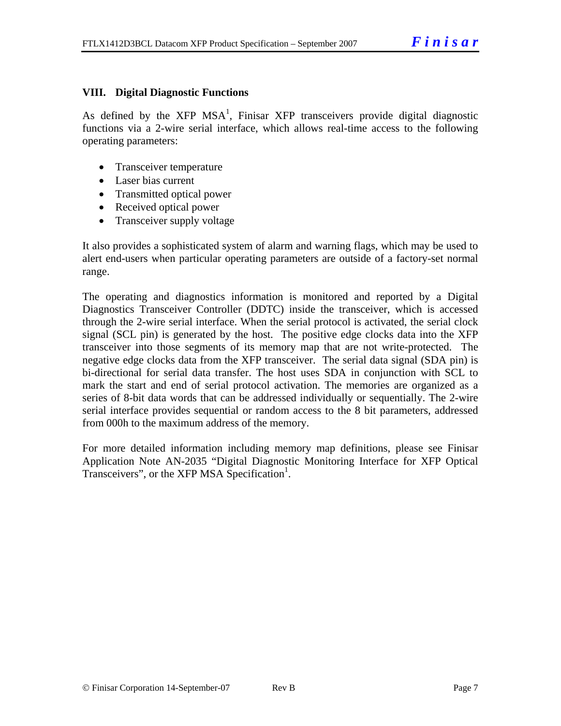## **VIII. Digital Diagnostic Functions**

As defined by the XFP MSA<sup>1</sup>, Finisar XFP transceivers provide digital diagnostic functions via a 2-wire serial interface, which allows real-time access to the following operating parameters:

- Transceiver temperature
- Laser bias current
- Transmitted optical power
- Received optical power
- Transceiver supply voltage

It also provides a sophisticated system of alarm and warning flags, which may be used to alert end-users when particular operating parameters are outside of a factory-set normal range.

The operating and diagnostics information is monitored and reported by a Digital Diagnostics Transceiver Controller (DDTC) inside the transceiver, which is accessed through the 2-wire serial interface. When the serial protocol is activated, the serial clock signal (SCL pin) is generated by the host. The positive edge clocks data into the XFP transceiver into those segments of its memory map that are not write-protected. The negative edge clocks data from the XFP transceiver. The serial data signal (SDA pin) is bi-directional for serial data transfer. The host uses SDA in conjunction with SCL to mark the start and end of serial protocol activation. The memories are organized as a series of 8-bit data words that can be addressed individually or sequentially. The 2-wire serial interface provides sequential or random access to the 8 bit parameters, addressed from 000h to the maximum address of the memory.

For more detailed information including memory map definitions, please see Finisar Application Note AN-2035 "Digital Diagnostic Monitoring Interface for XFP Optical Transceivers", or the XFP MSA Specification<sup>1</sup>.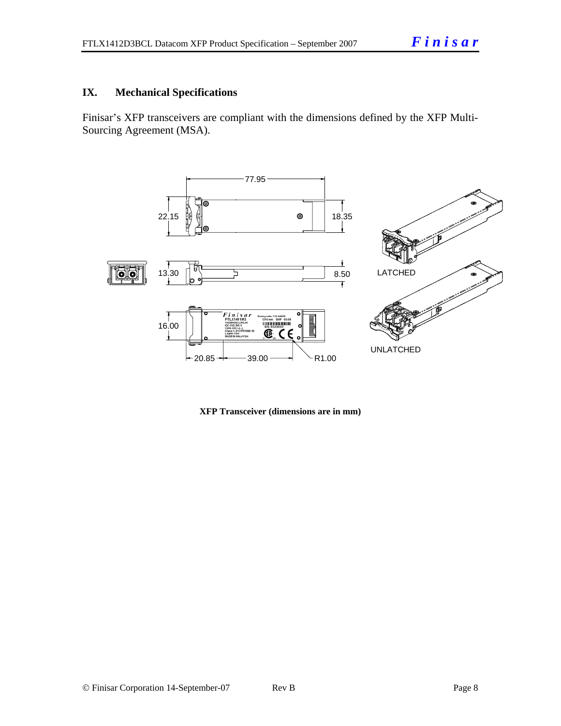## **IX. Mechanical Specifications**

Finisar's XFP transceivers are compliant with the dimensions defined by the XFP Multi-Sourcing Agreement (MSA).



**XFP Transceiver (dimensions are in mm)**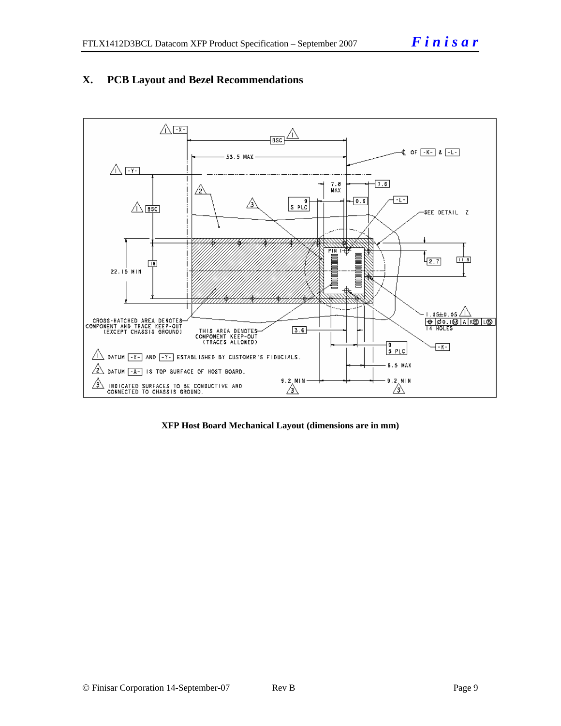



**XFP Host Board Mechanical Layout (dimensions are in mm)**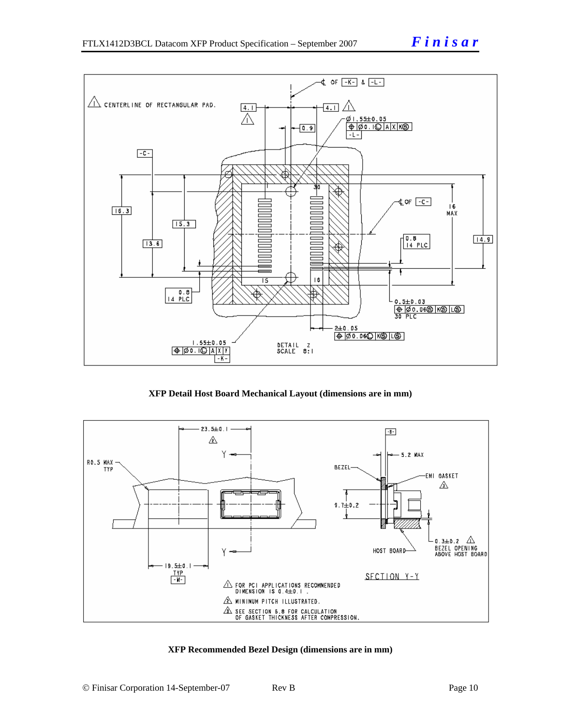

**XFP Detail Host Board Mechanical Layout (dimensions are in mm)** 



#### **XFP Recommended Bezel Design (dimensions are in mm)**